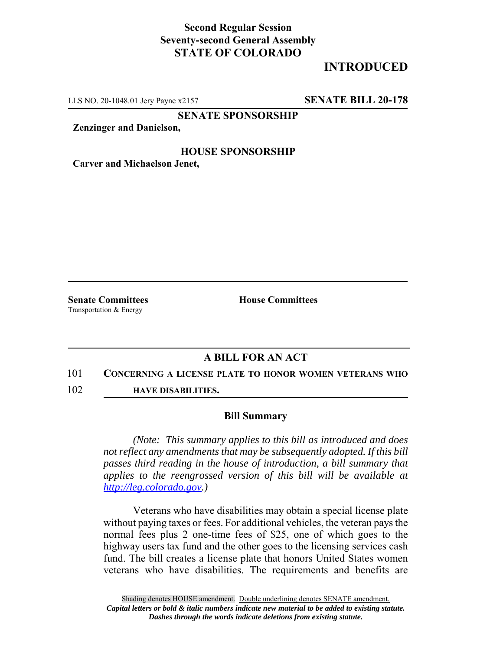## **Second Regular Session Seventy-second General Assembly STATE OF COLORADO**

# **INTRODUCED**

LLS NO. 20-1048.01 Jery Payne x2157 **SENATE BILL 20-178**

**SENATE SPONSORSHIP**

**Zenzinger and Danielson,**

### **HOUSE SPONSORSHIP**

**Carver and Michaelson Jenet,**

Transportation & Energy

**Senate Committees House Committees** 

### **A BILL FOR AN ACT**

#### 101 **CONCERNING A LICENSE PLATE TO HONOR WOMEN VETERANS WHO**

102 **HAVE DISABILITIES.**

#### **Bill Summary**

*(Note: This summary applies to this bill as introduced and does not reflect any amendments that may be subsequently adopted. If this bill passes third reading in the house of introduction, a bill summary that applies to the reengrossed version of this bill will be available at http://leg.colorado.gov.)*

Veterans who have disabilities may obtain a special license plate without paying taxes or fees. For additional vehicles, the veteran pays the normal fees plus 2 one-time fees of \$25, one of which goes to the highway users tax fund and the other goes to the licensing services cash fund. The bill creates a license plate that honors United States women veterans who have disabilities. The requirements and benefits are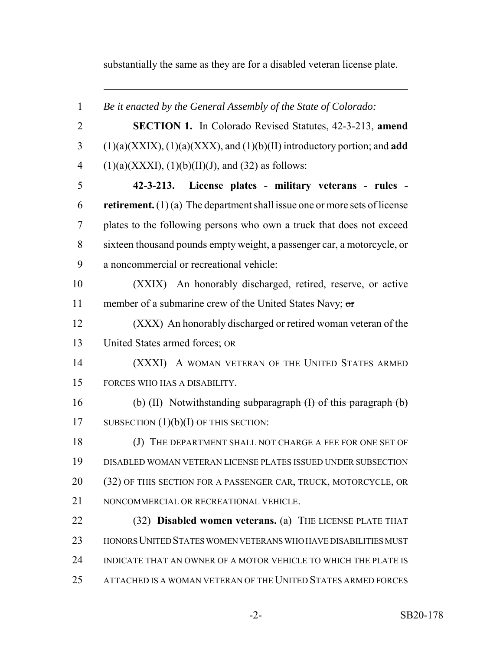substantially the same as they are for a disabled veteran license plate.

 *Be it enacted by the General Assembly of the State of Colorado:* **SECTION 1.** In Colorado Revised Statutes, 42-3-213, **amend** (1)(a)(XXIX), (1)(a)(XXX), and (1)(b)(II) introductory portion; and **add** 4 (1)(a)(XXXI), (1)(b)(II)(J), and (32) as follows: **42-3-213. License plates - military veterans - rules - retirement.** (1) (a) The department shall issue one or more sets of license plates to the following persons who own a truck that does not exceed sixteen thousand pounds empty weight, a passenger car, a motorcycle, or a noncommercial or recreational vehicle: (XXIX) An honorably discharged, retired, reserve, or active member of a submarine crew of the United States Navy; or (XXX) An honorably discharged or retired woman veteran of the United States armed forces; OR (XXXI) A WOMAN VETERAN OF THE UNITED STATES ARMED FORCES WHO HAS A DISABILITY. (b) (II) Notwithstanding subparagraph (I) of this paragraph (b) 17 SUBSECTION (1)(b)(I) OF THIS SECTION: (J) THE DEPARTMENT SHALL NOT CHARGE A FEE FOR ONE SET OF DISABLED WOMAN VETERAN LICENSE PLATES ISSUED UNDER SUBSECTION (32) OF THIS SECTION FOR A PASSENGER CAR, TRUCK, MOTORCYCLE, OR NONCOMMERCIAL OR RECREATIONAL VEHICLE. (32) **Disabled women veterans.** (a) THE LICENSE PLATE THAT HONORS UNITED STATES WOMEN VETERANS WHO HAVE DISABILITIES MUST INDICATE THAT AN OWNER OF A MOTOR VEHICLE TO WHICH THE PLATE IS ATTACHED IS A WOMAN VETERAN OF THE UNITED STATES ARMED FORCES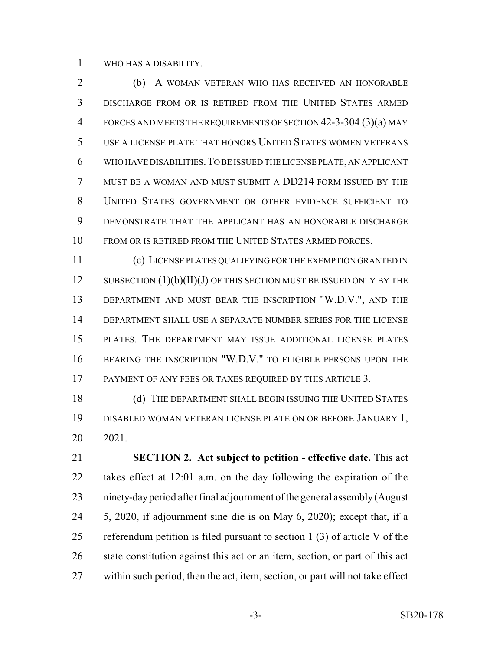WHO HAS A DISABILITY.

 (b) A WOMAN VETERAN WHO HAS RECEIVED AN HONORABLE DISCHARGE FROM OR IS RETIRED FROM THE UNITED STATES ARMED FORCES AND MEETS THE REQUIREMENTS OF SECTION 42-3-304 (3)(a) MAY USE A LICENSE PLATE THAT HONORS UNITED STATES WOMEN VETERANS WHO HAVE DISABILITIES.TO BE ISSUED THE LICENSE PLATE, AN APPLICANT MUST BE A WOMAN AND MUST SUBMIT A DD214 FORM ISSUED BY THE UNITED STATES GOVERNMENT OR OTHER EVIDENCE SUFFICIENT TO DEMONSTRATE THAT THE APPLICANT HAS AN HONORABLE DISCHARGE 10 FROM OR IS RETIRED FROM THE UNITED STATES ARMED FORCES.

 (c) LICENSE PLATES QUALIFYING FOR THE EXEMPTION GRANTED IN 12 SUBSECTION  $(1)(b)(II)(J)$  OF THIS SECTION MUST BE ISSUED ONLY BY THE DEPARTMENT AND MUST BEAR THE INSCRIPTION "W.D.V.", AND THE DEPARTMENT SHALL USE A SEPARATE NUMBER SERIES FOR THE LICENSE PLATES. THE DEPARTMENT MAY ISSUE ADDITIONAL LICENSE PLATES BEARING THE INSCRIPTION "W.D.V." TO ELIGIBLE PERSONS UPON THE PAYMENT OF ANY FEES OR TAXES REQUIRED BY THIS ARTICLE 3.

18 (d) THE DEPARTMENT SHALL BEGIN ISSUING THE UNITED STATES DISABLED WOMAN VETERAN LICENSE PLATE ON OR BEFORE JANUARY 1, 2021.

 **SECTION 2. Act subject to petition - effective date.** This act takes effect at 12:01 a.m. on the day following the expiration of the ninety-day period after final adjournment of the general assembly (August 5, 2020, if adjournment sine die is on May 6, 2020); except that, if a referendum petition is filed pursuant to section 1 (3) of article V of the state constitution against this act or an item, section, or part of this act within such period, then the act, item, section, or part will not take effect